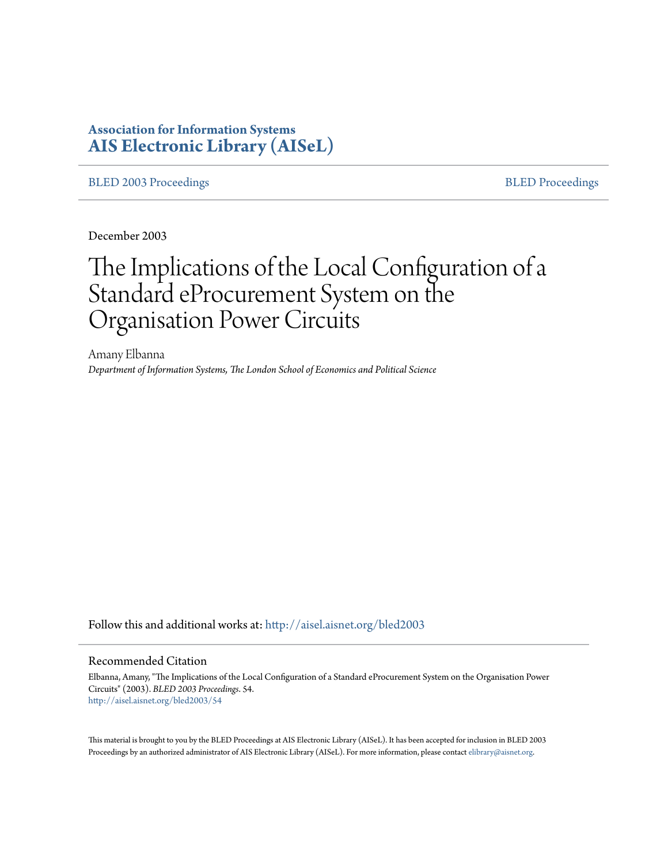# **Association for Information Systems [AIS Electronic Library \(AISeL\)](http://aisel.aisnet.org?utm_source=aisel.aisnet.org%2Fbled2003%2F54&utm_medium=PDF&utm_campaign=PDFCoverPages)**

[BLED 2003 Proceedings](http://aisel.aisnet.org/bled2003?utm_source=aisel.aisnet.org%2Fbled2003%2F54&utm_medium=PDF&utm_campaign=PDFCoverPages) and the state of the state of the [BLED Proceedings](http://aisel.aisnet.org/bled?utm_source=aisel.aisnet.org%2Fbled2003%2F54&utm_medium=PDF&utm_campaign=PDFCoverPages) and the BLED Proceedings and the BLED Proceedings and the BLED Proceedings and the BLED Proceedings and the BLED Proceedings and the BLED Proceedings

December 2003

# The Implications of the Local Configuration of a Standard eProcurement System on the Organisation Power Circuits

Amany Elbanna *Department of Information Systems, The London School of Economics and Political Science*

Follow this and additional works at: [http://aisel.aisnet.org/bled2003](http://aisel.aisnet.org/bled2003?utm_source=aisel.aisnet.org%2Fbled2003%2F54&utm_medium=PDF&utm_campaign=PDFCoverPages)

#### Recommended Citation

Elbanna, Amany, "The Implications of the Local Configuration of a Standard eProcurement System on the Organisation Power Circuits" (2003). *BLED 2003 Proceedings*. 54. [http://aisel.aisnet.org/bled2003/54](http://aisel.aisnet.org/bled2003/54?utm_source=aisel.aisnet.org%2Fbled2003%2F54&utm_medium=PDF&utm_campaign=PDFCoverPages)

This material is brought to you by the BLED Proceedings at AIS Electronic Library (AISeL). It has been accepted for inclusion in BLED 2003 Proceedings by an authorized administrator of AIS Electronic Library (AISeL). For more information, please contact [elibrary@aisnet.org](mailto:elibrary@aisnet.org%3E).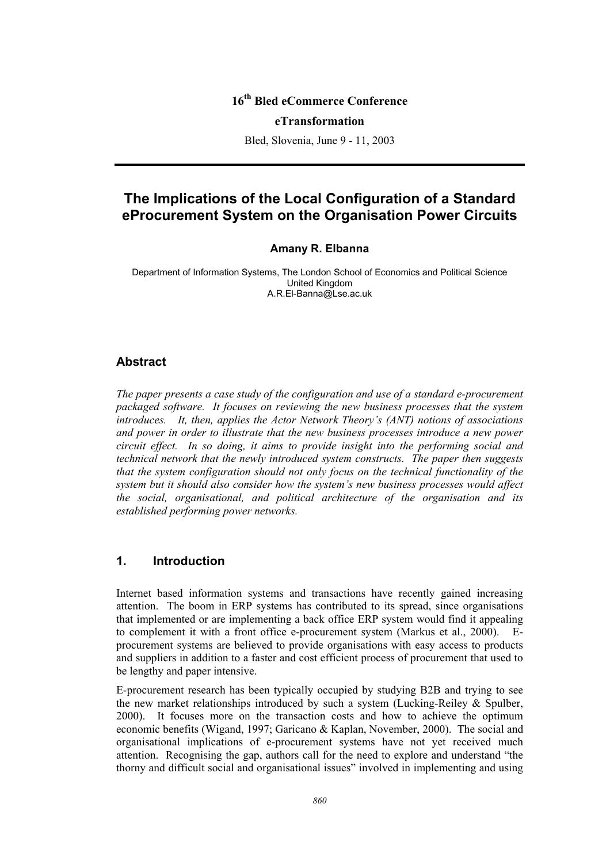## **16th Bled eCommerce Conference**

#### **eTransformation**

Bled, Slovenia, June 9 - 11, 2003

# **The Implications of the Local Configuration of a Standard eProcurement System on the Organisation Power Circuits**

#### **Amany R. Elbanna**

Department of Information Systems, The London School of Economics and Political Science United Kingdom A.R.El-Banna@Lse.ac.uk

#### **Abstract**

*The paper presents a case study of the configuration and use of a standard e-procurement packaged software. It focuses on reviewing the new business processes that the system introduces. It, then, applies the Actor Network Theory's (ANT) notions of associations and power in order to illustrate that the new business processes introduce a new power circuit effect. In so doing, it aims to provide insight into the performing social and technical network that the newly introduced system constructs. The paper then suggests that the system configuration should not only focus on the technical functionality of the system but it should also consider how the system's new business processes would affect the social, organisational, and political architecture of the organisation and its established performing power networks.* 

## **1. Introduction**

Internet based information systems and transactions have recently gained increasing attention. The boom in ERP systems has contributed to its spread, since organisations that implemented or are implementing a back office ERP system would find it appealing to complement it with a front office e-procurement system (Markus et al., 2000). Eprocurement systems are believed to provide organisations with easy access to products and suppliers in addition to a faster and cost efficient process of procurement that used to be lengthy and paper intensive.

E-procurement research has been typically occupied by studying B2B and trying to see the new market relationships introduced by such a system (Lucking-Reiley  $\&$  Spulber, 2000). It focuses more on the transaction costs and how to achieve the optimum economic benefits (Wigand, 1997; Garicano & Kaplan, November, 2000). The social and organisational implications of e-procurement systems have not yet received much attention. Recognising the gap, authors call for the need to explore and understand "the thorny and difficult social and organisational issues" involved in implementing and using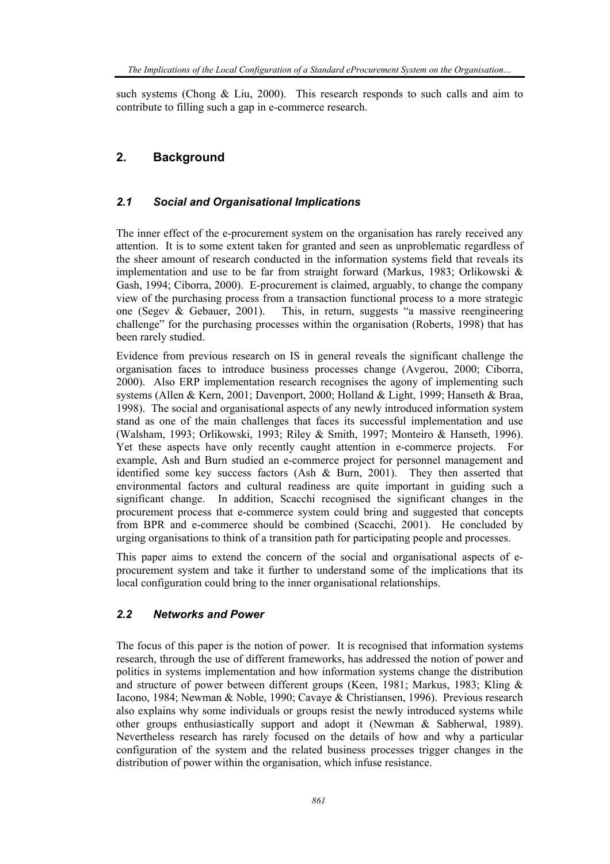such systems (Chong & Liu, 2000). This research responds to such calls and aim to contribute to filling such a gap in e-commerce research.

# **2. Background**

#### *2.1 Social and Organisational Implications*

The inner effect of the e-procurement system on the organisation has rarely received any attention. It is to some extent taken for granted and seen as unproblematic regardless of the sheer amount of research conducted in the information systems field that reveals its implementation and use to be far from straight forward (Markus, 1983; Orlikowski & Gash, 1994; Ciborra, 2000). E-procurement is claimed, arguably, to change the company view of the purchasing process from a transaction functional process to a more strategic one (Segev & Gebauer, 2001). This, in return, suggests "a massive reengineering challenge" for the purchasing processes within the organisation (Roberts, 1998) that has been rarely studied.

Evidence from previous research on IS in general reveals the significant challenge the organisation faces to introduce business processes change (Avgerou, 2000; Ciborra, 2000). Also ERP implementation research recognises the agony of implementing such systems (Allen & Kern, 2001; Davenport, 2000; Holland & Light, 1999; Hanseth & Braa, 1998). The social and organisational aspects of any newly introduced information system stand as one of the main challenges that faces its successful implementation and use (Walsham, 1993; Orlikowski, 1993; Riley & Smith, 1997; Monteiro & Hanseth, 1996). Yet these aspects have only recently caught attention in e-commerce projects. For example, Ash and Burn studied an e-commerce project for personnel management and identified some key success factors (Ash & Burn, 2001). They then asserted that environmental factors and cultural readiness are quite important in guiding such a significant change. In addition, Scacchi recognised the significant changes in the procurement process that e-commerce system could bring and suggested that concepts from BPR and e-commerce should be combined (Scacchi, 2001). He concluded by urging organisations to think of a transition path for participating people and processes.

This paper aims to extend the concern of the social and organisational aspects of eprocurement system and take it further to understand some of the implications that its local configuration could bring to the inner organisational relationships.

#### *2.2 Networks and Power*

The focus of this paper is the notion of power. It is recognised that information systems research, through the use of different frameworks, has addressed the notion of power and politics in systems implementation and how information systems change the distribution and structure of power between different groups (Keen, 1981; Markus, 1983; Kling & Iacono, 1984; Newman & Noble, 1990; Cavaye & Christiansen, 1996). Previous research also explains why some individuals or groups resist the newly introduced systems while other groups enthusiastically support and adopt it (Newman & Sabherwal, 1989). Nevertheless research has rarely focused on the details of how and why a particular configuration of the system and the related business processes trigger changes in the distribution of power within the organisation, which infuse resistance.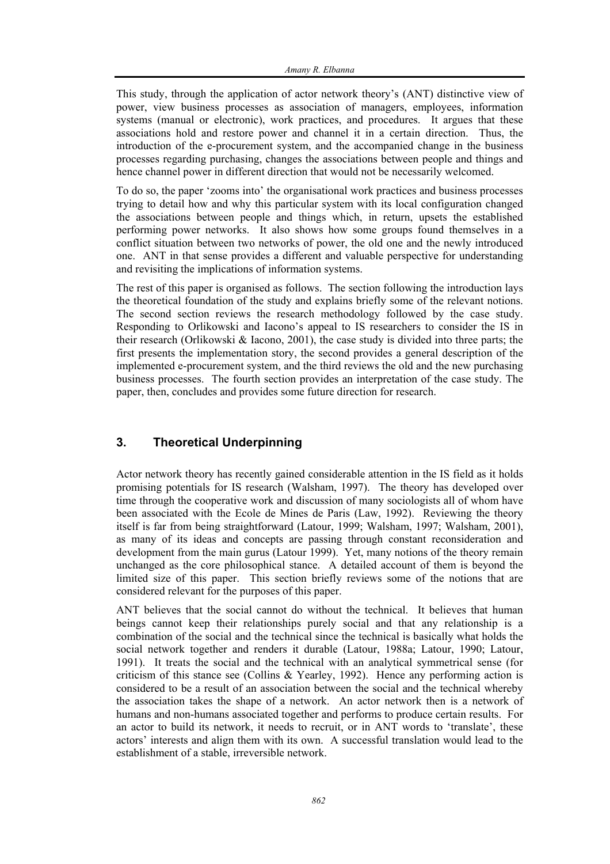This study, through the application of actor network theory's (ANT) distinctive view of power, view business processes as association of managers, employees, information systems (manual or electronic), work practices, and procedures. It argues that these associations hold and restore power and channel it in a certain direction. Thus, the introduction of the e-procurement system, and the accompanied change in the business processes regarding purchasing, changes the associations between people and things and hence channel power in different direction that would not be necessarily welcomed.

To do so, the paper 'zooms into' the organisational work practices and business processes trying to detail how and why this particular system with its local configuration changed the associations between people and things which, in return, upsets the established performing power networks. It also shows how some groups found themselves in a conflict situation between two networks of power, the old one and the newly introduced one. ANT in that sense provides a different and valuable perspective for understanding and revisiting the implications of information systems.

The rest of this paper is organised as follows. The section following the introduction lays the theoretical foundation of the study and explains briefly some of the relevant notions. The second section reviews the research methodology followed by the case study. Responding to Orlikowski and Iacono's appeal to IS researchers to consider the IS in their research (Orlikowski & Iacono, 2001), the case study is divided into three parts; the first presents the implementation story, the second provides a general description of the implemented e-procurement system, and the third reviews the old and the new purchasing business processes. The fourth section provides an interpretation of the case study. The paper, then, concludes and provides some future direction for research.

## **3. Theoretical Underpinning**

Actor network theory has recently gained considerable attention in the IS field as it holds promising potentials for IS research (Walsham, 1997). The theory has developed over time through the cooperative work and discussion of many sociologists all of whom have been associated with the Ecole de Mines de Paris (Law, 1992). Reviewing the theory itself is far from being straightforward (Latour, 1999; Walsham, 1997; Walsham, 2001), as many of its ideas and concepts are passing through constant reconsideration and development from the main gurus (Latour 1999). Yet, many notions of the theory remain unchanged as the core philosophical stance. A detailed account of them is beyond the limited size of this paper. This section briefly reviews some of the notions that are considered relevant for the purposes of this paper.

ANT believes that the social cannot do without the technical. It believes that human beings cannot keep their relationships purely social and that any relationship is a combination of the social and the technical since the technical is basically what holds the social network together and renders it durable (Latour, 1988a; Latour, 1990; Latour, 1991). It treats the social and the technical with an analytical symmetrical sense (for criticism of this stance see (Collins & Yearley, 1992). Hence any performing action is considered to be a result of an association between the social and the technical whereby the association takes the shape of a network. An actor network then is a network of humans and non-humans associated together and performs to produce certain results. For an actor to build its network, it needs to recruit, or in ANT words to 'translate', these actors' interests and align them with its own. A successful translation would lead to the establishment of a stable, irreversible network.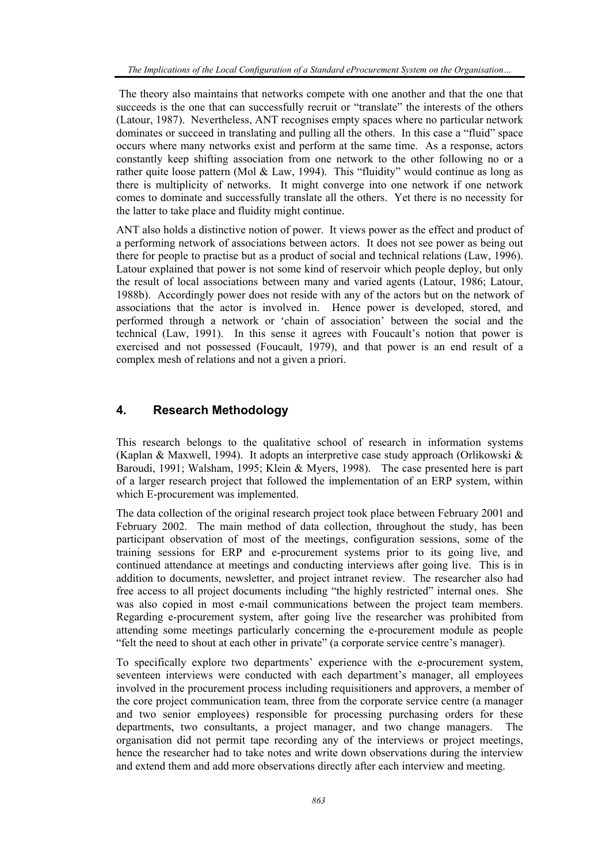The theory also maintains that networks compete with one another and that the one that succeeds is the one that can successfully recruit or "translate" the interests of the others (Latour, 1987). Nevertheless, ANT recognises empty spaces where no particular network dominates or succeed in translating and pulling all the others. In this case a "fluid" space occurs where many networks exist and perform at the same time. As a response, actors constantly keep shifting association from one network to the other following no or a rather quite loose pattern (Mol & Law, 1994). This "fluidity" would continue as long as there is multiplicity of networks. It might converge into one network if one network comes to dominate and successfully translate all the others. Yet there is no necessity for the latter to take place and fluidity might continue.

ANT also holds a distinctive notion of power. It views power as the effect and product of a performing network of associations between actors. It does not see power as being out there for people to practise but as a product of social and technical relations (Law, 1996). Latour explained that power is not some kind of reservoir which people deploy, but only the result of local associations between many and varied agents (Latour, 1986; Latour, 1988b). Accordingly power does not reside with any of the actors but on the network of associations that the actor is involved in. Hence power is developed, stored, and performed through a network or 'chain of association' between the social and the technical (Law, 1991). In this sense it agrees with Foucault's notion that power is exercised and not possessed (Foucault, 1979), and that power is an end result of a complex mesh of relations and not a given a priori.

## **4. Research Methodology**

This research belongs to the qualitative school of research in information systems (Kaplan & Maxwell, 1994). It adopts an interpretive case study approach (Orlikowski & Baroudi, 1991; Walsham, 1995; Klein & Myers, 1998). The case presented here is part of a larger research project that followed the implementation of an ERP system, within which E-procurement was implemented.

The data collection of the original research project took place between February 2001 and February 2002. The main method of data collection, throughout the study, has been participant observation of most of the meetings, configuration sessions, some of the training sessions for ERP and e-procurement systems prior to its going live, and continued attendance at meetings and conducting interviews after going live. This is in addition to documents, newsletter, and project intranet review. The researcher also had free access to all project documents including "the highly restricted" internal ones. She was also copied in most e-mail communications between the project team members. Regarding e-procurement system, after going live the researcher was prohibited from attending some meetings particularly concerning the e-procurement module as people "felt the need to shout at each other in private" (a corporate service centre's manager).

To specifically explore two departments' experience with the e-procurement system, seventeen interviews were conducted with each department's manager, all employees involved in the procurement process including requisitioners and approvers, a member of the core project communication team, three from the corporate service centre (a manager and two senior employees) responsible for processing purchasing orders for these departments, two consultants, a project manager, and two change managers. The organisation did not permit tape recording any of the interviews or project meetings, hence the researcher had to take notes and write down observations during the interview and extend them and add more observations directly after each interview and meeting.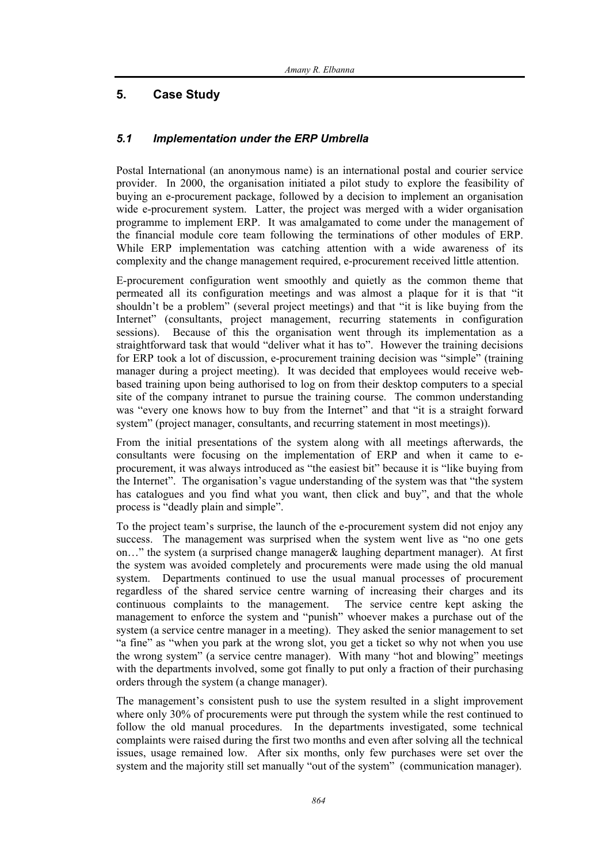## **5. Case Study**

#### *5.1 Implementation under the ERP Umbrella*

Postal International (an anonymous name) is an international postal and courier service provider. In 2000, the organisation initiated a pilot study to explore the feasibility of buying an e-procurement package, followed by a decision to implement an organisation wide e-procurement system. Latter, the project was merged with a wider organisation programme to implement ERP. It was amalgamated to come under the management of the financial module core team following the terminations of other modules of ERP. While ERP implementation was catching attention with a wide awareness of its complexity and the change management required, e-procurement received little attention.

E-procurement configuration went smoothly and quietly as the common theme that permeated all its configuration meetings and was almost a plaque for it is that "it shouldn't be a problem" (several project meetings) and that "it is like buying from the Internet" (consultants, project management, recurring statements in configuration sessions). Because of this the organisation went through its implementation as a straightforward task that would "deliver what it has to". However the training decisions for ERP took a lot of discussion, e-procurement training decision was "simple" (training manager during a project meeting). It was decided that employees would receive webbased training upon being authorised to log on from their desktop computers to a special site of the company intranet to pursue the training course. The common understanding was "every one knows how to buy from the Internet" and that "it is a straight forward system" (project manager, consultants, and recurring statement in most meetings)).

From the initial presentations of the system along with all meetings afterwards, the consultants were focusing on the implementation of ERP and when it came to eprocurement, it was always introduced as "the easiest bit" because it is "like buying from the Internet". The organisation's vague understanding of the system was that "the system has catalogues and you find what you want, then click and buy", and that the whole process is "deadly plain and simple".

To the project team's surprise, the launch of the e-procurement system did not enjoy any success. The management was surprised when the system went live as "no one gets on…" the system (a surprised change manager& laughing department manager). At first the system was avoided completely and procurements were made using the old manual system. Departments continued to use the usual manual processes of procurement regardless of the shared service centre warning of increasing their charges and its continuous complaints to the management. The service centre kept asking the management to enforce the system and "punish" whoever makes a purchase out of the system (a service centre manager in a meeting). They asked the senior management to set "a fine" as "when you park at the wrong slot, you get a ticket so why not when you use the wrong system" (a service centre manager). With many "hot and blowing" meetings with the departments involved, some got finally to put only a fraction of their purchasing orders through the system (a change manager).

The management's consistent push to use the system resulted in a slight improvement where only 30% of procurements were put through the system while the rest continued to follow the old manual procedures. In the departments investigated, some technical complaints were raised during the first two months and even after solving all the technical issues, usage remained low. After six months, only few purchases were set over the system and the majority still set manually "out of the system" (communication manager).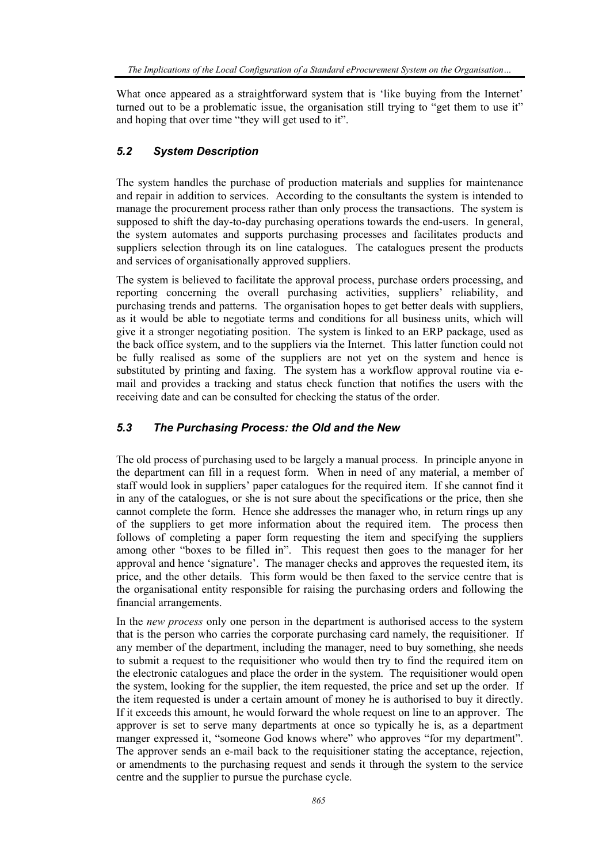What once appeared as a straightforward system that is 'like buying from the Internet' turned out to be a problematic issue, the organisation still trying to "get them to use it" and hoping that over time "they will get used to it".

#### *5.2 System Description*

The system handles the purchase of production materials and supplies for maintenance and repair in addition to services. According to the consultants the system is intended to manage the procurement process rather than only process the transactions. The system is supposed to shift the day-to-day purchasing operations towards the end-users. In general, the system automates and supports purchasing processes and facilitates products and suppliers selection through its on line catalogues. The catalogues present the products and services of organisationally approved suppliers.

The system is believed to facilitate the approval process, purchase orders processing, and reporting concerning the overall purchasing activities, suppliers' reliability, and purchasing trends and patterns. The organisation hopes to get better deals with suppliers, as it would be able to negotiate terms and conditions for all business units, which will give it a stronger negotiating position. The system is linked to an ERP package, used as the back office system, and to the suppliers via the Internet. This latter function could not be fully realised as some of the suppliers are not yet on the system and hence is substituted by printing and faxing. The system has a workflow approval routine via email and provides a tracking and status check function that notifies the users with the receiving date and can be consulted for checking the status of the order.

#### *5.3 The Purchasing Process: the Old and the New*

The old process of purchasing used to be largely a manual process. In principle anyone in the department can fill in a request form. When in need of any material, a member of staff would look in suppliers' paper catalogues for the required item. If she cannot find it in any of the catalogues, or she is not sure about the specifications or the price, then she cannot complete the form. Hence she addresses the manager who, in return rings up any of the suppliers to get more information about the required item. The process then follows of completing a paper form requesting the item and specifying the suppliers among other "boxes to be filled in". This request then goes to the manager for her approval and hence 'signature'. The manager checks and approves the requested item, its price, and the other details. This form would be then faxed to the service centre that is the organisational entity responsible for raising the purchasing orders and following the financial arrangements.

In the *new process* only one person in the department is authorised access to the system that is the person who carries the corporate purchasing card namely, the requisitioner. If any member of the department, including the manager, need to buy something, she needs to submit a request to the requisitioner who would then try to find the required item on the electronic catalogues and place the order in the system. The requisitioner would open the system, looking for the supplier, the item requested, the price and set up the order. If the item requested is under a certain amount of money he is authorised to buy it directly. If it exceeds this amount, he would forward the whole request on line to an approver. The approver is set to serve many departments at once so typically he is, as a department manger expressed it, "someone God knows where" who approves "for my department". The approver sends an e-mail back to the requisitioner stating the acceptance, rejection, or amendments to the purchasing request and sends it through the system to the service centre and the supplier to pursue the purchase cycle.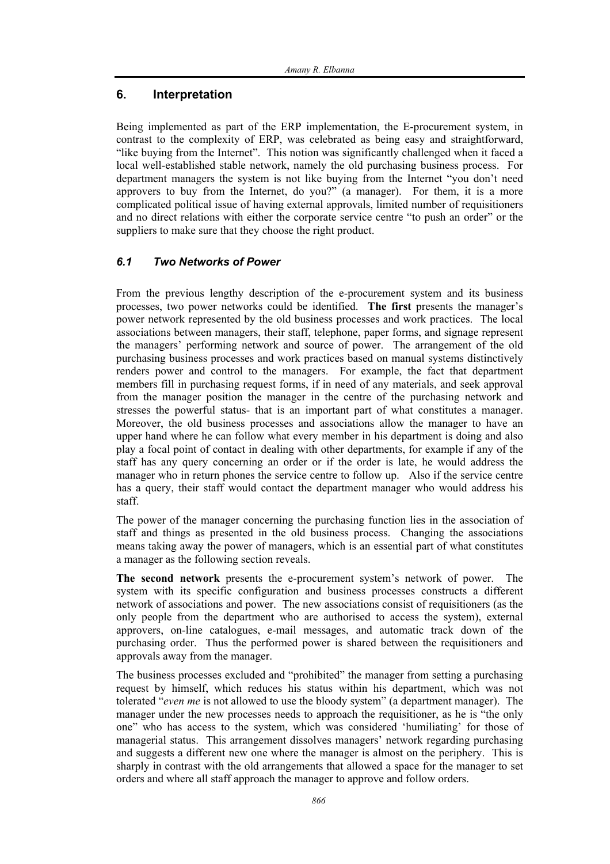## **6. Interpretation**

Being implemented as part of the ERP implementation, the E-procurement system, in contrast to the complexity of ERP, was celebrated as being easy and straightforward, "like buying from the Internet". This notion was significantly challenged when it faced a local well-established stable network, namely the old purchasing business process. For department managers the system is not like buying from the Internet "you don't need approvers to buy from the Internet, do you?" (a manager). For them, it is a more complicated political issue of having external approvals, limited number of requisitioners and no direct relations with either the corporate service centre "to push an order" or the suppliers to make sure that they choose the right product.

## *6.1 Two Networks of Power*

From the previous lengthy description of the e-procurement system and its business processes, two power networks could be identified. **The first** presents the manager's power network represented by the old business processes and work practices. The local associations between managers, their staff, telephone, paper forms, and signage represent the managers' performing network and source of power. The arrangement of the old purchasing business processes and work practices based on manual systems distinctively renders power and control to the managers. For example, the fact that department members fill in purchasing request forms, if in need of any materials, and seek approval from the manager position the manager in the centre of the purchasing network and stresses the powerful status- that is an important part of what constitutes a manager. Moreover, the old business processes and associations allow the manager to have an upper hand where he can follow what every member in his department is doing and also play a focal point of contact in dealing with other departments, for example if any of the staff has any query concerning an order or if the order is late, he would address the manager who in return phones the service centre to follow up. Also if the service centre has a query, their staff would contact the department manager who would address his staff.

The power of the manager concerning the purchasing function lies in the association of staff and things as presented in the old business process. Changing the associations means taking away the power of managers, which is an essential part of what constitutes a manager as the following section reveals.

**The second network** presents the e-procurement system's network of power. The system with its specific configuration and business processes constructs a different network of associations and power. The new associations consist of requisitioners (as the only people from the department who are authorised to access the system), external approvers, on-line catalogues, e-mail messages, and automatic track down of the purchasing order. Thus the performed power is shared between the requisitioners and approvals away from the manager.

The business processes excluded and "prohibited" the manager from setting a purchasing request by himself, which reduces his status within his department, which was not tolerated "*even me* is not allowed to use the bloody system" (a department manager). The manager under the new processes needs to approach the requisitioner, as he is "the only one" who has access to the system, which was considered 'humiliating' for those of managerial status. This arrangement dissolves managers' network regarding purchasing and suggests a different new one where the manager is almost on the periphery. This is sharply in contrast with the old arrangements that allowed a space for the manager to set orders and where all staff approach the manager to approve and follow orders.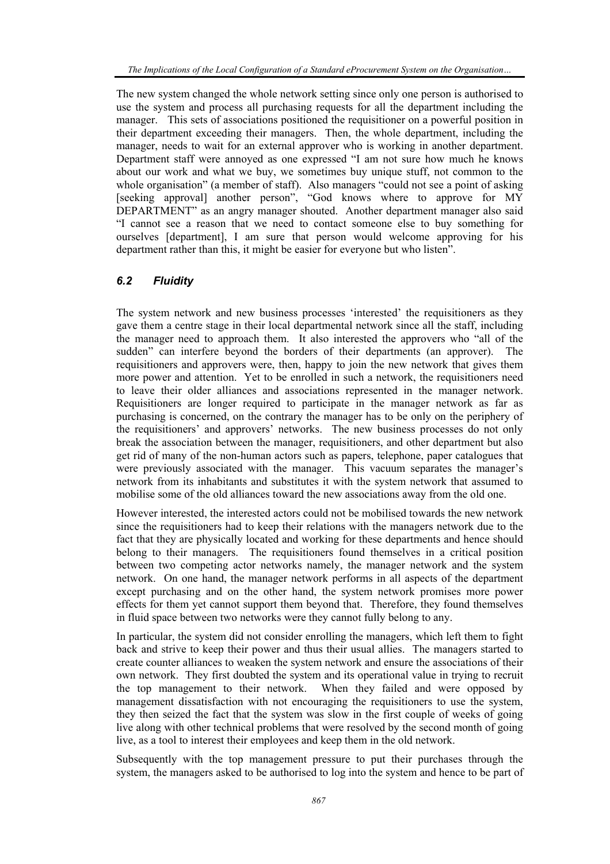The new system changed the whole network setting since only one person is authorised to use the system and process all purchasing requests for all the department including the manager. This sets of associations positioned the requisitioner on a powerful position in their department exceeding their managers. Then, the whole department, including the manager, needs to wait for an external approver who is working in another department. Department staff were annoyed as one expressed "I am not sure how much he knows about our work and what we buy, we sometimes buy unique stuff, not common to the whole organisation" (a member of staff). Also managers "could not see a point of asking [seeking approval] another person", "God knows where to approve for MY DEPARTMENT" as an angry manager shouted. Another department manager also said "I cannot see a reason that we need to contact someone else to buy something for ourselves [department], I am sure that person would welcome approving for his department rather than this, it might be easier for everyone but who listen".

#### *6.2 Fluidity*

The system network and new business processes 'interested' the requisitioners as they gave them a centre stage in their local departmental network since all the staff, including the manager need to approach them. It also interested the approvers who "all of the sudden" can interfere beyond the borders of their departments (an approver). The requisitioners and approvers were, then, happy to join the new network that gives them more power and attention. Yet to be enrolled in such a network, the requisitioners need to leave their older alliances and associations represented in the manager network. Requisitioners are longer required to participate in the manager network as far as purchasing is concerned, on the contrary the manager has to be only on the periphery of the requisitioners' and approvers' networks. The new business processes do not only break the association between the manager, requisitioners, and other department but also get rid of many of the non-human actors such as papers, telephone, paper catalogues that were previously associated with the manager. This vacuum separates the manager's network from its inhabitants and substitutes it with the system network that assumed to mobilise some of the old alliances toward the new associations away from the old one.

However interested, the interested actors could not be mobilised towards the new network since the requisitioners had to keep their relations with the managers network due to the fact that they are physically located and working for these departments and hence should belong to their managers. The requisitioners found themselves in a critical position between two competing actor networks namely, the manager network and the system network. On one hand, the manager network performs in all aspects of the department except purchasing and on the other hand, the system network promises more power effects for them yet cannot support them beyond that. Therefore, they found themselves in fluid space between two networks were they cannot fully belong to any.

In particular, the system did not consider enrolling the managers, which left them to fight back and strive to keep their power and thus their usual allies. The managers started to create counter alliances to weaken the system network and ensure the associations of their own network. They first doubted the system and its operational value in trying to recruit the top management to their network. When they failed and were opposed by management dissatisfaction with not encouraging the requisitioners to use the system, they then seized the fact that the system was slow in the first couple of weeks of going live along with other technical problems that were resolved by the second month of going live, as a tool to interest their employees and keep them in the old network.

Subsequently with the top management pressure to put their purchases through the system, the managers asked to be authorised to log into the system and hence to be part of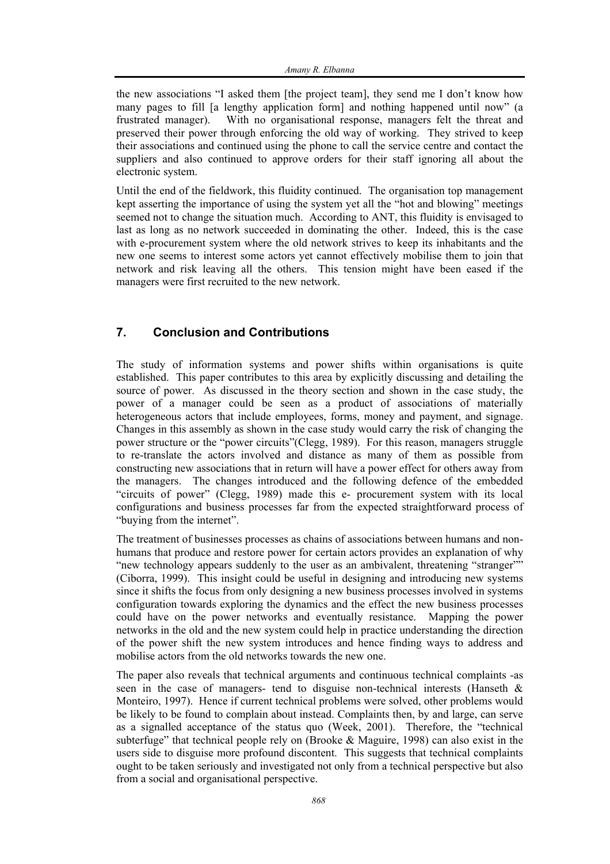the new associations "I asked them [the project team], they send me I don't know how many pages to fill [a lengthy application form] and nothing happened until now" (a frustrated manager). With no organisational response, managers felt the threat and preserved their power through enforcing the old way of working. They strived to keep their associations and continued using the phone to call the service centre and contact the suppliers and also continued to approve orders for their staff ignoring all about the electronic system.

Until the end of the fieldwork, this fluidity continued. The organisation top management kept asserting the importance of using the system yet all the "hot and blowing" meetings seemed not to change the situation much. According to ANT, this fluidity is envisaged to last as long as no network succeeded in dominating the other. Indeed, this is the case with e-procurement system where the old network strives to keep its inhabitants and the new one seems to interest some actors yet cannot effectively mobilise them to join that network and risk leaving all the others. This tension might have been eased if the managers were first recruited to the new network.

# **7. Conclusion and Contributions**

The study of information systems and power shifts within organisations is quite established. This paper contributes to this area by explicitly discussing and detailing the source of power. As discussed in the theory section and shown in the case study, the power of a manager could be seen as a product of associations of materially heterogeneous actors that include employees, forms, money and payment, and signage. Changes in this assembly as shown in the case study would carry the risk of changing the power structure or the "power circuits"(Clegg, 1989). For this reason, managers struggle to re-translate the actors involved and distance as many of them as possible from constructing new associations that in return will have a power effect for others away from the managers. The changes introduced and the following defence of the embedded "circuits of power" (Clegg, 1989) made this e- procurement system with its local configurations and business processes far from the expected straightforward process of "buying from the internet".

The treatment of businesses processes as chains of associations between humans and nonhumans that produce and restore power for certain actors provides an explanation of why "new technology appears suddenly to the user as an ambivalent, threatening "stranger"" (Ciborra, 1999). This insight could be useful in designing and introducing new systems since it shifts the focus from only designing a new business processes involved in systems configuration towards exploring the dynamics and the effect the new business processes could have on the power networks and eventually resistance. Mapping the power networks in the old and the new system could help in practice understanding the direction of the power shift the new system introduces and hence finding ways to address and mobilise actors from the old networks towards the new one.

The paper also reveals that technical arguments and continuous technical complaints -as seen in the case of managers- tend to disguise non-technical interests (Hanseth & Monteiro, 1997). Hence if current technical problems were solved, other problems would be likely to be found to complain about instead. Complaints then, by and large, can serve as a signalled acceptance of the status quo (Week, 2001). Therefore, the "technical subterfuge" that technical people rely on (Brooke & Maguire, 1998) can also exist in the users side to disguise more profound discontent. This suggests that technical complaints ought to be taken seriously and investigated not only from a technical perspective but also from a social and organisational perspective.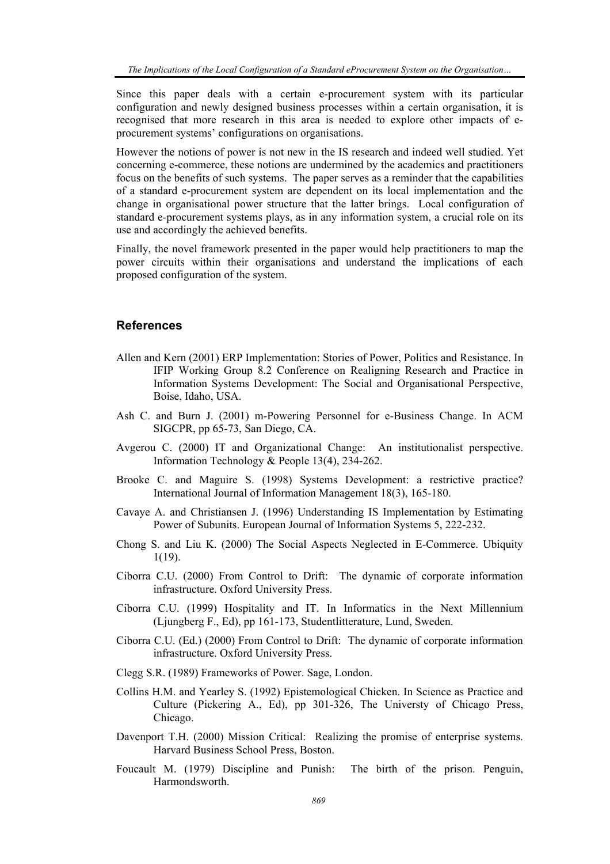Since this paper deals with a certain e-procurement system with its particular configuration and newly designed business processes within a certain organisation, it is recognised that more research in this area is needed to explore other impacts of eprocurement systems' configurations on organisations.

However the notions of power is not new in the IS research and indeed well studied. Yet concerning e-commerce, these notions are undermined by the academics and practitioners focus on the benefits of such systems. The paper serves as a reminder that the capabilities of a standard e-procurement system are dependent on its local implementation and the change in organisational power structure that the latter brings. Local configuration of standard e-procurement systems plays, as in any information system, a crucial role on its use and accordingly the achieved benefits.

Finally, the novel framework presented in the paper would help practitioners to map the power circuits within their organisations and understand the implications of each proposed configuration of the system.

#### **References**

- Allen and Kern (2001) ERP Implementation: Stories of Power, Politics and Resistance. In IFIP Working Group 8.2 Conference on Realigning Research and Practice in Information Systems Development: The Social and Organisational Perspective, Boise, Idaho, USA.
- Ash C. and Burn J. (2001) m-Powering Personnel for e-Business Change. In ACM SIGCPR, pp 65-73, San Diego, CA.
- Avgerou C. (2000) IT and Organizational Change: An institutionalist perspective. Information Technology & People 13(4), 234-262.
- Brooke C. and Maguire S. (1998) Systems Development: a restrictive practice? International Journal of Information Management 18(3), 165-180.
- Cavaye A. and Christiansen J. (1996) Understanding IS Implementation by Estimating Power of Subunits. European Journal of Information Systems 5, 222-232.
- Chong S. and Liu K. (2000) The Social Aspects Neglected in E-Commerce. Ubiquity 1(19).
- Ciborra C.U. (2000) From Control to Drift: The dynamic of corporate information infrastructure. Oxford University Press.
- Ciborra C.U. (1999) Hospitality and IT. In Informatics in the Next Millennium (Ljungberg F., Ed), pp 161-173, Studentlitterature, Lund, Sweden.
- Ciborra C.U. (Ed.) (2000) From Control to Drift: The dynamic of corporate information infrastructure. Oxford University Press.
- Clegg S.R. (1989) Frameworks of Power. Sage, London.
- Collins H.M. and Yearley S. (1992) Epistemological Chicken. In Science as Practice and Culture (Pickering A., Ed), pp 301-326, The Universty of Chicago Press, Chicago.
- Davenport T.H. (2000) Mission Critical: Realizing the promise of enterprise systems. Harvard Business School Press, Boston.
- Foucault M. (1979) Discipline and Punish: The birth of the prison. Penguin, Harmondsworth.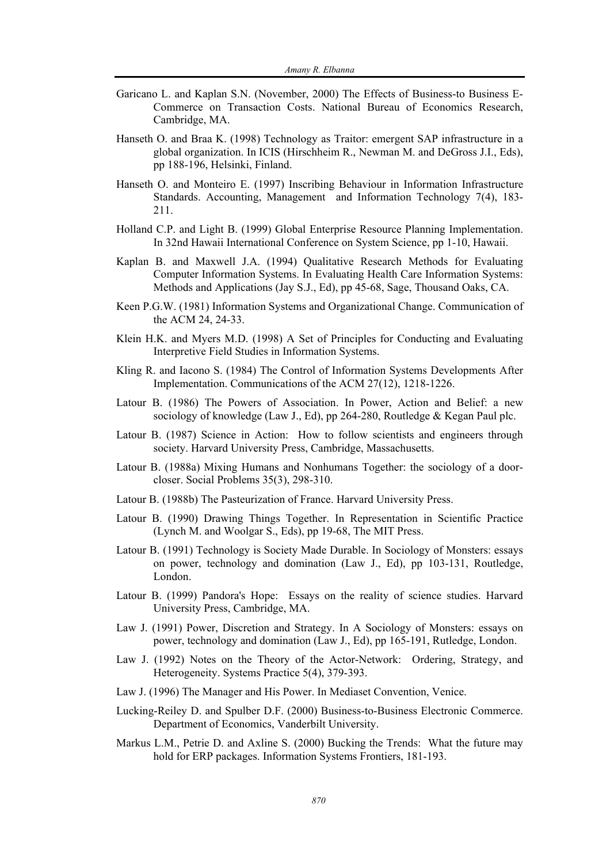- Garicano L. and Kaplan S.N. (November, 2000) The Effects of Business-to Business E-Commerce on Transaction Costs. National Bureau of Economics Research, Cambridge, MA.
- Hanseth O. and Braa K. (1998) Technology as Traitor: emergent SAP infrastructure in a global organization. In ICIS (Hirschheim R., Newman M. and DeGross J.I., Eds), pp 188-196, Helsinki, Finland.
- Hanseth O. and Monteiro E. (1997) Inscribing Behaviour in Information Infrastructure Standards. Accounting, Management and Information Technology 7(4), 183- 211.
- Holland C.P. and Light B. (1999) Global Enterprise Resource Planning Implementation. In 32nd Hawaii International Conference on System Science, pp 1-10, Hawaii.
- Kaplan B. and Maxwell J.A. (1994) Qualitative Research Methods for Evaluating Computer Information Systems. In Evaluating Health Care Information Systems: Methods and Applications (Jay S.J., Ed), pp 45-68, Sage, Thousand Oaks, CA.
- Keen P.G.W. (1981) Information Systems and Organizational Change. Communication of the ACM 24, 24-33.
- Klein H.K. and Myers M.D. (1998) A Set of Principles for Conducting and Evaluating Interpretive Field Studies in Information Systems.
- Kling R. and Iacono S. (1984) The Control of Information Systems Developments After Implementation. Communications of the ACM 27(12), 1218-1226.
- Latour B. (1986) The Powers of Association. In Power, Action and Belief: a new sociology of knowledge (Law J., Ed), pp 264-280, Routledge & Kegan Paul plc.
- Latour B. (1987) Science in Action: How to follow scientists and engineers through society. Harvard University Press, Cambridge, Massachusetts.
- Latour B. (1988a) Mixing Humans and Nonhumans Together: the sociology of a doorcloser. Social Problems 35(3), 298-310.
- Latour B. (1988b) The Pasteurization of France. Harvard University Press.
- Latour B. (1990) Drawing Things Together. In Representation in Scientific Practice (Lynch M. and Woolgar S., Eds), pp 19-68, The MIT Press.
- Latour B. (1991) Technology is Society Made Durable. In Sociology of Monsters: essays on power, technology and domination (Law J., Ed), pp 103-131, Routledge, London.
- Latour B. (1999) Pandora's Hope: Essays on the reality of science studies. Harvard University Press, Cambridge, MA.
- Law J. (1991) Power, Discretion and Strategy. In A Sociology of Monsters: essays on power, technology and domination (Law J., Ed), pp 165-191, Rutledge, London.
- Law J. (1992) Notes on the Theory of the Actor-Network: Ordering, Strategy, and Heterogeneity. Systems Practice 5(4), 379-393.
- Law J. (1996) The Manager and His Power. In Mediaset Convention, Venice.
- Lucking-Reiley D. and Spulber D.F. (2000) Business-to-Business Electronic Commerce. Department of Economics, Vanderbilt University.
- Markus L.M., Petrie D. and Axline S. (2000) Bucking the Trends: What the future may hold for ERP packages. Information Systems Frontiers, 181-193.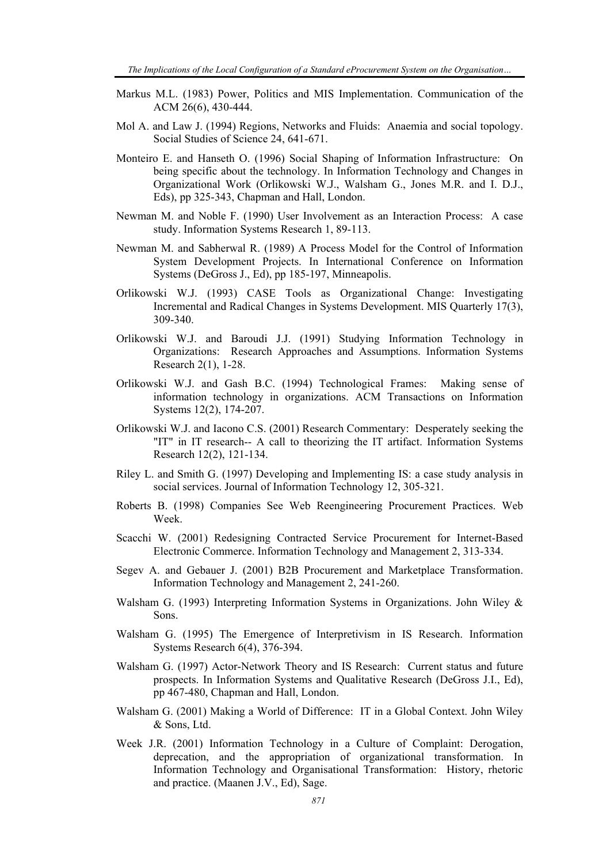- Markus M.L. (1983) Power, Politics and MIS Implementation. Communication of the ACM 26(6), 430-444.
- Mol A. and Law J. (1994) Regions, Networks and Fluids: Anaemia and social topology. Social Studies of Science 24, 641-671.
- Monteiro E. and Hanseth O. (1996) Social Shaping of Information Infrastructure: On being specific about the technology. In Information Technology and Changes in Organizational Work (Orlikowski W.J., Walsham G., Jones M.R. and I. D.J., Eds), pp 325-343, Chapman and Hall, London.
- Newman M. and Noble F. (1990) User Involvement as an Interaction Process: A case study. Information Systems Research 1, 89-113.
- Newman M. and Sabherwal R. (1989) A Process Model for the Control of Information System Development Projects. In International Conference on Information Systems (DeGross J., Ed), pp 185-197, Minneapolis.
- Orlikowski W.J. (1993) CASE Tools as Organizational Change: Investigating Incremental and Radical Changes in Systems Development. MIS Quarterly 17(3), 309-340.
- Orlikowski W.J. and Baroudi J.J. (1991) Studying Information Technology in Organizations: Research Approaches and Assumptions. Information Systems Research 2(1), 1-28.
- Orlikowski W.J. and Gash B.C. (1994) Technological Frames: Making sense of information technology in organizations. ACM Transactions on Information Systems 12(2), 174-207.
- Orlikowski W.J. and Iacono C.S. (2001) Research Commentary: Desperately seeking the "IT" in IT research-- A call to theorizing the IT artifact. Information Systems Research 12(2), 121-134.
- Riley L. and Smith G. (1997) Developing and Implementing IS: a case study analysis in social services. Journal of Information Technology 12, 305-321.
- Roberts B. (1998) Companies See Web Reengineering Procurement Practices. Web Week.
- Scacchi W. (2001) Redesigning Contracted Service Procurement for Internet-Based Electronic Commerce. Information Technology and Management 2, 313-334.
- Segev A. and Gebauer J. (2001) B2B Procurement and Marketplace Transformation. Information Technology and Management 2, 241-260.
- Walsham G. (1993) Interpreting Information Systems in Organizations. John Wiley & Sons.
- Walsham G. (1995) The Emergence of Interpretivism in IS Research. Information Systems Research 6(4), 376-394.
- Walsham G. (1997) Actor-Network Theory and IS Research: Current status and future prospects. In Information Systems and Qualitative Research (DeGross J.I., Ed), pp 467-480, Chapman and Hall, London.
- Walsham G. (2001) Making a World of Difference: IT in a Global Context. John Wiley & Sons, Ltd.
- Week J.R. (2001) Information Technology in a Culture of Complaint: Derogation, deprecation, and the appropriation of organizational transformation. In Information Technology and Organisational Transformation: History, rhetoric and practice. (Maanen J.V., Ed), Sage.